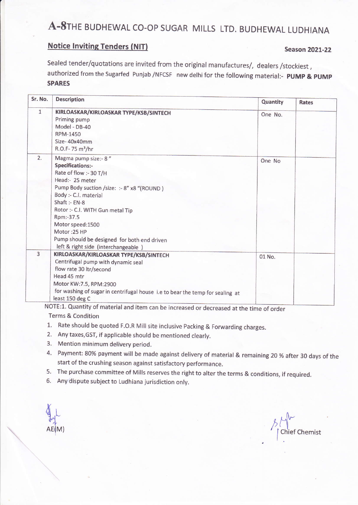## A-8THE BUDHEWAL CO-OP SUGAR MILLS LTD. BUDHEWAL LUDHIANA

### **Notice Inviting Tenders (NIT)**

#### **Season 2021-22**

Sealed tender/quotations are invited from the original manufactures/, dealers /stockiest, authorized from the Sugarfed Punjab /NFCSF new delhi for the following material:- PUMP & PUMP **SPARES** 

| Sr. No.        | <b>Description</b>                                                                                                                                                                                                                                                                                                                                          | Quantity | Rates |
|----------------|-------------------------------------------------------------------------------------------------------------------------------------------------------------------------------------------------------------------------------------------------------------------------------------------------------------------------------------------------------------|----------|-------|
| $\mathbf{1}$   | KIRLOASKAR/KIRLOASKAR TYPE/KSB/SINTECH<br>Priming pump<br>Model - DB-40<br>RPM-1450<br>Size-40x40mm<br>R.O.F-75 m <sup>3</sup> /hr                                                                                                                                                                                                                          | One No.  |       |
| 2.             | Magma pump size:- 8"<br>Specifications:-<br>Rate of flow :- 30 T/H<br>Head:- 25 meter<br>Pump Body suction /size: :- 8" x8 "(ROUND)<br>Body :- C.I. material<br>Shaft :- $EN-8$<br>Rotor :- C.I. WITH Gun metal Tip<br>Rpm:-37.5<br>Motor speed: 1500<br>Motor: 25 HP<br>Pump should be designed for both end driven<br>left & right side (interchangeable) | One No   |       |
| $\overline{3}$ | KIRLOASKAR/KIRLOASKAR TYPE/KSB/SINTECH<br>Centrifugal pump with dynamic seal<br>flow rate 30 ltr/second<br>Head 45 mtr<br>Motor KW:7.5, RPM:2900<br>for washing of sugar in centrifugal house i.e to bear the temp for sealing at<br>least 150 deg C                                                                                                        | 01 No.   |       |

NOTE:1. Quantity of material and item can be increased or decreased at the time of order

**Terms & Condition** 

- 1. Rate should be quoted F.O.R Mill site inclusive Packing & Forwarding charges.
- 2. Any taxes, GST, if applicable should be mentioned clearly.
- 3. Mention minimum delivery period.
- 4. Payment: 80% payment will be made against delivery of material & remaining 20 % after 30 days of the start of the crushing season against satisfactory performance.
- 5. The purchase committee of Mills reserves the right to alter the terms & conditions, if required.
- 6. Any dispute subject to Ludhiana jurisdiction only.

**Chief Chemist**